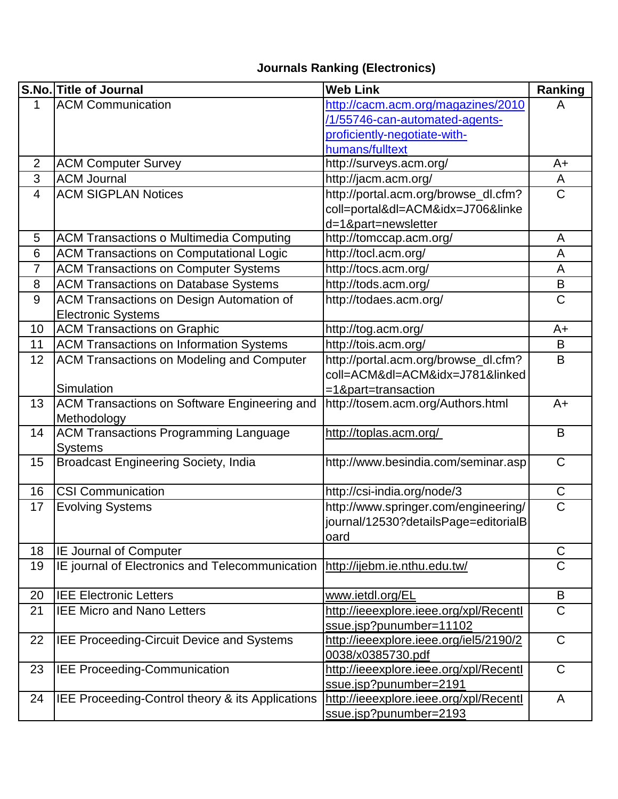## **Journals Ranking (Electronics)**

|                 | S.No. Title of Journal                              | <b>Web Link</b>                        | Ranking        |
|-----------------|-----------------------------------------------------|----------------------------------------|----------------|
| 1               | <b>ACM Communication</b>                            | http://cacm.acm.org/magazines/2010     | A              |
|                 |                                                     | /1/55746-can-automated-agents-         |                |
|                 |                                                     | proficiently-negotiate-with-           |                |
|                 |                                                     | humans/fulltext                        |                |
| $\overline{2}$  | <b>ACM Computer Survey</b>                          | http://surveys.acm.org/                | $A+$           |
| 3               | <b>ACM Journal</b>                                  | http://jacm.acm.org/                   | A              |
| $\overline{4}$  | <b>ACM SIGPLAN Notices</b>                          | http://portal.acm.org/browse_dl.cfm?   | $\mathsf{C}$   |
|                 |                                                     | coll=portal&dl=ACM&idx=J706&linke      |                |
|                 |                                                     | d=1∂=newsletter                        |                |
| 5               | <b>ACM Transactions o Multimedia Computing</b>      | http://tomccap.acm.org/                | A              |
| $6\phantom{1}6$ | <b>ACM Transactions on Computational Logic</b>      | http://tocl.acm.org/                   | A              |
| $\overline{7}$  | <b>ACM Transactions on Computer Systems</b>         | http://tocs.acm.org/                   | A              |
| 8               | <b>ACM Transactions on Database Systems</b>         | http://tods.acm.org/                   | B              |
| 9               | ACM Transactions on Design Automation of            | http://todaes.acm.org/                 | $\mathsf C$    |
|                 | <b>Electronic Systems</b>                           |                                        |                |
| 10              | <b>ACM Transactions on Graphic</b>                  | http://tog.acm.org/                    | A+             |
| 11              | <b>ACM Transactions on Information Systems</b>      | http://tois.acm.org/                   | B              |
| 12              | <b>ACM Transactions on Modeling and Computer</b>    | http://portal.acm.org/browse_dl.cfm?   | B              |
|                 |                                                     | coll=ACM&dl=ACM&idx=J781&linked        |                |
|                 | Simulation                                          | =1∂=transaction                        |                |
| 13              | <b>ACM Transactions on Software Engineering and</b> | http://tosem.acm.org/Authors.html      | $A+$           |
|                 | Methodology                                         |                                        |                |
| 14              | <b>ACM Transactions Programming Language</b>        | http://toplas.acm.org/                 | B              |
|                 | <b>Systems</b>                                      |                                        |                |
| 15              | <b>Broadcast Engineering Society, India</b>         | http://www.besindia.com/seminar.asp    | $\mathsf{C}$   |
| 16              | <b>CSI Communication</b>                            | http://csi-india.org/node/3            | $\mathsf C$    |
| 17              |                                                     | http://www.springer.com/engineering/   | $\overline{C}$ |
|                 | <b>Evolving Systems</b>                             | journal/12530?detailsPage=editorialB   |                |
|                 |                                                     | oard                                   |                |
| 18              | IE Journal of Computer                              |                                        | $\mathsf C$    |
| 19              | IE journal of Electronics and Telecommunication     | http://ijebm.ie.nthu.edu.tw/           | $\mathsf C$    |
|                 |                                                     |                                        |                |
| 20              | <b>IEE Electronic Letters</b>                       | www.ietdl.org/EL                       | B              |
| 21              | <b>IEE Micro and Nano Letters</b>                   | http://ieeexplore.ieee.org/xpl/Recentl | $\mathsf C$    |
|                 |                                                     | ssue.jsp?punumber=11102                |                |
| 22              | <b>IEE Proceeding-Circuit Device and Systems</b>    | http://ieeexplore.ieee.org/iel5/2190/2 | $\mathsf C$    |
|                 |                                                     | 0038/x0385730.pdf                      |                |
| 23              | <b>IEE Proceeding-Communication</b>                 | http://ieeexplore.ieee.org/xpl/Recentl | $\mathsf{C}$   |
|                 |                                                     | ssue.jsp?punumber=2191                 |                |
| 24              | IEE Proceeding-Control theory & its Applications    | http://ieeexplore.ieee.org/xpl/Recentl | A              |
|                 |                                                     | ssue.jsp?punumber=2193                 |                |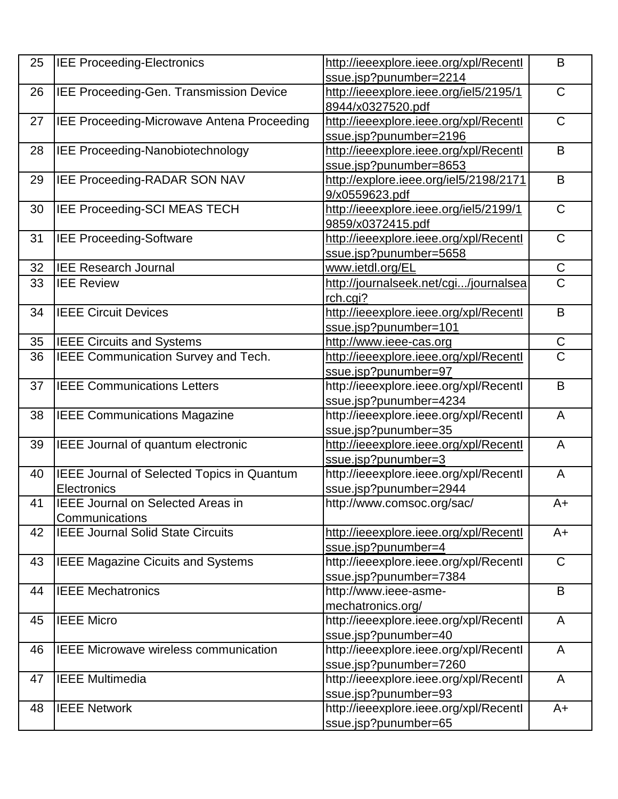| 25 | <b>IEE Proceeding-Electronics</b>                          | http://ieeexplore.ieee.org/xpl/Recentl<br>ssue.jsp?punumber=2214 | B              |
|----|------------------------------------------------------------|------------------------------------------------------------------|----------------|
| 26 | IEE Proceeding-Gen. Transmission Device                    | http://ieeexplore.ieee.org/iel5/2195/1<br>8944/x0327520.pdf      | $\mathsf{C}$   |
| 27 | <b>IEE Proceeding-Microwave Antena Proceeding</b>          | http://ieeexplore.ieee.org/xpl/Recentl<br>ssue.jsp?punumber=2196 | $\mathsf{C}$   |
| 28 | <b>IEE Proceeding-Nanobiotechnology</b>                    | http://ieeexplore.ieee.org/xpl/Recentl<br>ssue.jsp?punumber=8653 | B              |
| 29 | IEE Proceeding-RADAR SON NAV                               | http://explore.ieee.org/iel5/2198/2171<br>9/x0559623.pdf         | B              |
| 30 | IEE Proceeding-SCI MEAS TECH                               | http://ieeexplore.ieee.org/iel5/2199/1<br>9859/x0372415.pdf      | $\mathsf{C}$   |
| 31 | <b>IEE Proceeding-Software</b>                             | http://ieeexplore.ieee.org/xpl/Recentl<br>ssue.jsp?punumber=5658 | $\mathsf{C}$   |
| 32 | <b>IEE Research Journal</b>                                | www.ietdl.org/EL                                                 | $\mathsf C$    |
| 33 | <b>IEE Review</b>                                          | http://journalseek.net/cgi/journalsea<br>rch.cgi?                | $\mathsf C$    |
| 34 | <b>IEEE Circuit Devices</b>                                | http://ieeexplore.ieee.org/xpl/Recentl<br>ssue.jsp?punumber=101  | B              |
| 35 | <b>IEEE Circuits and Systems</b>                           | http://www.ieee-cas.org                                          | C              |
| 36 | <b>IEEE Communication Survey and Tech.</b>                 | http://ieeexplore.ieee.org/xpl/Recentl<br>ssue.jsp?punumber=97   | $\mathsf{C}$   |
| 37 | <b>IEEE Communications Letters</b>                         | http://ieeexplore.ieee.org/xpl/Recentl<br>ssue.jsp?punumber=4234 | B              |
| 38 | <b>IEEE Communications Magazine</b>                        | http://ieeexplore.ieee.org/xpl/Recentl<br>ssue.jsp?punumber=35   | A              |
| 39 | IEEE Journal of quantum electronic                         | http://ieeexplore.ieee.org/xpl/Recentl<br>ssue.jsp?punumber=3    | A              |
| 40 | IEEE Journal of Selected Topics in Quantum<br>Electronics  | http://ieeexplore.ieee.org/xpl/Recentl<br>ssue.jsp?punumber=2944 | A              |
| 41 | <b>IEEE Journal on Selected Areas in</b><br>Communications | http://www.comsoc.org/sac/                                       | A+             |
| 42 | <b>IEEE Journal Solid State Circuits</b>                   | http://ieeexplore.ieee.org/xpl/Recentl<br>ssue.jsp?punumber=4    | $A+$           |
| 43 | <b>IEEE Magazine Cicuits and Systems</b>                   | http://ieeexplore.ieee.org/xpl/Recentl<br>ssue.jsp?punumber=7384 | $\mathsf{C}$   |
| 44 | <b>IEEE Mechatronics</b>                                   | http://www.ieee-asme-<br>mechatronics.org/                       | B              |
| 45 | <b>IEEE Micro</b>                                          | http://ieeexplore.ieee.org/xpl/Recentl<br>ssue.jsp?punumber=40   | $\overline{A}$ |
| 46 | <b>IEEE Microwave wireless communication</b>               | http://ieeexplore.ieee.org/xpl/Recentl<br>ssue.jsp?punumber=7260 | A              |
| 47 | <b>IEEE Multimedia</b>                                     | http://ieeexplore.ieee.org/xpl/Recentl<br>ssue.jsp?punumber=93   | A              |
| 48 | <b>IEEE Network</b>                                        | http://ieeexplore.ieee.org/xpl/Recentl<br>ssue.jsp?punumber=65   | $A+$           |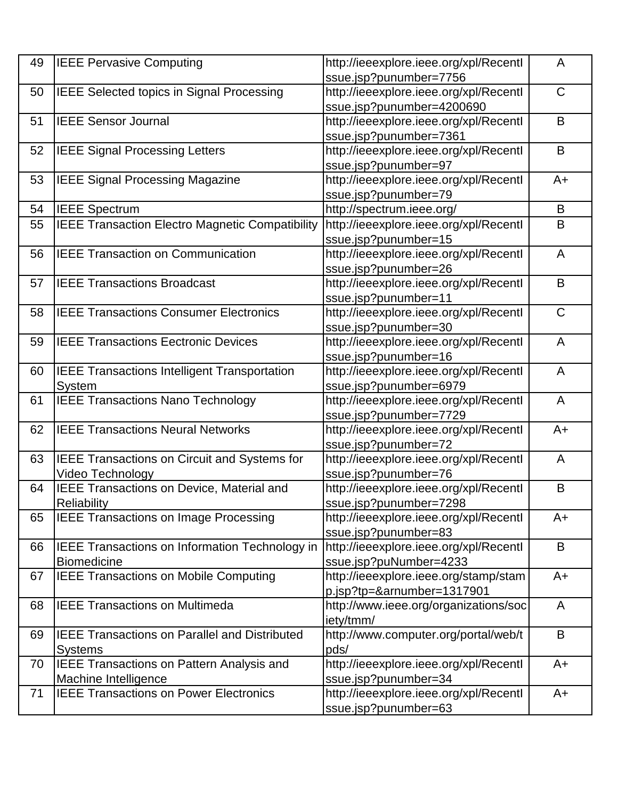| 49 | <b>IEEE Pervasive Computing</b>                        | http://ieeexplore.ieee.org/xpl/Recentl | A              |
|----|--------------------------------------------------------|----------------------------------------|----------------|
|    |                                                        | ssue.jsp?punumber=7756                 |                |
| 50 | <b>IEEE Selected topics in Signal Processing</b>       | http://ieeexplore.ieee.org/xpl/Recentl | $\mathsf{C}$   |
|    |                                                        | ssue.jsp?punumber=4200690              |                |
| 51 | <b>IEEE Sensor Journal</b>                             | http://ieeexplore.ieee.org/xpl/Recentl | B              |
|    |                                                        | ssue.jsp?punumber=7361                 |                |
| 52 | <b>IEEE Signal Processing Letters</b>                  | http://ieeexplore.ieee.org/xpl/Recentl | B              |
|    |                                                        | ssue.jsp?punumber=97                   |                |
| 53 | <b>IEEE Signal Processing Magazine</b>                 | http://ieeexplore.ieee.org/xpl/Recentl | $A+$           |
|    |                                                        | ssue.jsp?punumber=79                   |                |
| 54 | <b>IEEE</b> Spectrum                                   | http://spectrum.ieee.org/              | B              |
| 55 | <b>IEEE Transaction Electro Magnetic Compatibility</b> | http://ieeexplore.ieee.org/xpl/Recentl | B              |
|    |                                                        | ssue.jsp?punumber=15                   |                |
| 56 | <b>IEEE Transaction on Communication</b>               | http://ieeexplore.ieee.org/xpl/Recentl | $\mathsf{A}$   |
|    |                                                        | ssue.jsp?punumber=26                   |                |
| 57 | <b>IEEE Transactions Broadcast</b>                     | http://ieeexplore.ieee.org/xpl/Recentl | B              |
|    |                                                        | ssue.jsp?punumber=11                   |                |
| 58 | <b>IEEE Transactions Consumer Electronics</b>          |                                        | $\mathsf{C}$   |
|    |                                                        | http://ieeexplore.ieee.org/xpl/Recentl |                |
|    |                                                        | ssue.jsp?punumber=30                   |                |
| 59 | <b>IEEE Transactions Eectronic Devices</b>             | http://ieeexplore.ieee.org/xpl/Recentl | A              |
|    |                                                        | ssue.jsp?punumber=16                   |                |
| 60 | <b>IEEE Transactions Intelligent Transportation</b>    | http://ieeexplore.ieee.org/xpl/Recentl | $\overline{A}$ |
|    | System                                                 | ssue.jsp?punumber=6979                 |                |
| 61 | <b>IEEE Transactions Nano Technology</b>               | http://ieeexplore.ieee.org/xpl/Recentl | A              |
|    |                                                        | ssue.jsp?punumber=7729                 |                |
| 62 | <b>IEEE Transactions Neural Networks</b>               | http://ieeexplore.ieee.org/xpl/Recentl | $A+$           |
|    |                                                        | ssue.jsp?punumber=72                   |                |
| 63 | <b>IEEE Transactions on Circuit and Systems for</b>    | http://ieeexplore.ieee.org/xpl/Recentl | A              |
|    | Video Technology                                       | ssue.jsp?punumber=76                   |                |
| 64 | IEEE Transactions on Device, Material and              | http://ieeexplore.ieee.org/xpl/Recentl | B              |
|    | Reliability                                            | ssue.jsp?punumber=7298                 |                |
| 65 | <b>IEEE Transactions on Image Processing</b>           | http://ieeexplore.ieee.org/xpl/Recentl | $A+$           |
|    |                                                        | ssue.jsp?punumber=83                   |                |
| 66 | IEEE Transactions on Information Technology in         | http://ieeexplore.ieee.org/xpl/Recentl | B              |
|    | <b>Biomedicine</b>                                     | ssue.jsp?puNumber=4233                 |                |
| 67 | <b>IEEE Transactions on Mobile Computing</b>           | http://ieeexplore.ieee.org/stamp/stam  | $A+$           |
|    |                                                        | p.jsp?tp=&arnumber=1317901             |                |
| 68 | <b>IEEE Transactions on Multimeda</b>                  | http://www.ieee.org/organizations/soc  | A              |
|    |                                                        | iety/tmm/                              |                |
| 69 | <b>IEEE Transactions on Parallel and Distributed</b>   | http://www.computer.org/portal/web/t   | B              |
|    | <b>Systems</b>                                         | pds/                                   |                |
| 70 | <b>IEEE Transactions on Pattern Analysis and</b>       | http://ieeexplore.ieee.org/xpl/Recentl | $A+$           |
|    | Machine Intelligence                                   | ssue.jsp?punumber=34                   |                |
| 71 | <b>IEEE Transactions on Power Electronics</b>          | http://ieeexplore.ieee.org/xpl/Recentl | $A+$           |
|    |                                                        | ssue.jsp?punumber=63                   |                |
|    |                                                        |                                        |                |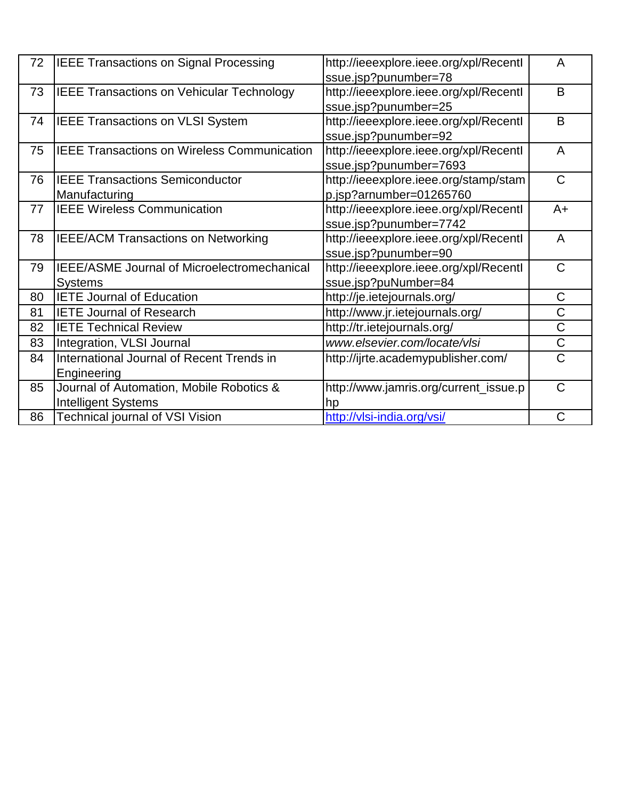| 72 | <b>IEEE Transactions on Signal Processing</b>                 | http://ieeexplore.ieee.org/xpl/Recentl<br>ssue.jsp?punumber=78   | $\overline{A}$ |
|----|---------------------------------------------------------------|------------------------------------------------------------------|----------------|
| 73 | <b>IEEE Transactions on Vehicular Technology</b>              | http://ieeexplore.ieee.org/xpl/Recentl<br>ssue.jsp?punumber=25   | B              |
| 74 | <b>IEEE Transactions on VLSI System</b>                       | http://ieeexplore.ieee.org/xpl/Recentl<br>ssue.jsp?punumber=92   | B              |
| 75 | <b>IEEE Transactions on Wireless Communication</b>            | http://ieeexplore.ieee.org/xpl/Recentl<br>ssue.jsp?punumber=7693 | A              |
| 76 | <b>IEEE Transactions Semiconductor</b><br>Manufacturing       | http://ieeexplore.ieee.org/stamp/stam<br>p.jsp?arnumber=01265760 | $\mathsf{C}$   |
| 77 | <b>IEEE Wireless Communication</b>                            | http://ieeexplore.ieee.org/xpl/Recentl<br>ssue.jsp?punumber=7742 | $A+$           |
| 78 | <b>IEEE/ACM Transactions on Networking</b>                    | http://ieeexplore.ieee.org/xpl/Recentl<br>ssue.jsp?punumber=90   | $\overline{A}$ |
| 79 | IEEE/ASME Journal of Microelectromechanical<br><b>Systems</b> | http://ieeexplore.ieee.org/xpl/Recentl<br>ssue.jsp?puNumber=84   | $\mathsf{C}$   |
| 80 | <b>IETE Journal of Education</b>                              | http://je.ietejournals.org/                                      | C              |
| 81 | <b>IETE Journal of Research</b>                               | http://www.jr.ietejournals.org/                                  | C              |
| 82 | <b>IETE Technical Review</b>                                  | http://tr.ietejournals.org/                                      | $\mathsf C$    |
| 83 | Integration, VLSI Journal                                     | www.elsevier.com/locate/vlsi                                     | $\mathsf C$    |
| 84 | International Journal of Recent Trends in                     | http://ijrte.academypublisher.com/                               | C              |
| 85 | Engineering<br>Journal of Automation, Mobile Robotics &       | http://www.jamris.org/current_issue.p                            | $\mathsf{C}$   |
|    | <b>Intelligent Systems</b>                                    | hp                                                               |                |
| 86 | Technical journal of VSI Vision                               | http://vlsi-india.org/vsi/                                       | C              |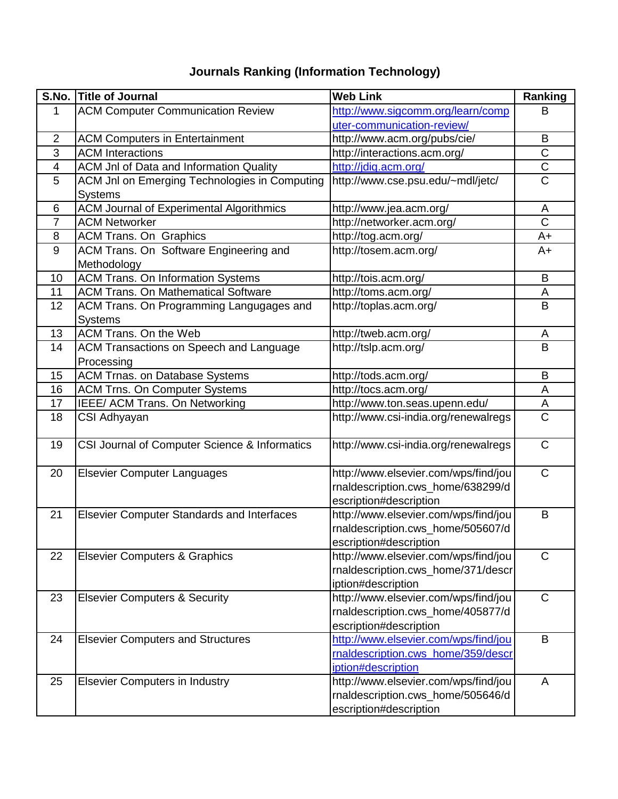## **Journals Ranking (Information Technology)**

|                | S.No. Title of Journal                            | <b>Web Link</b>                      | Ranking               |
|----------------|---------------------------------------------------|--------------------------------------|-----------------------|
| 1              | <b>ACM Computer Communication Review</b>          | http://www.sigcomm.org/learn/comp    | B                     |
|                |                                                   | uter-communication-review/           |                       |
| 2              | <b>ACM Computers in Entertainment</b>             | http://www.acm.org/pubs/cie/         | B                     |
| 3              | <b>ACM</b> Interactions                           | http://interactions.acm.org/         | C                     |
| 4              | <b>ACM Jnl of Data and Information Quality</b>    | http://jdiq.acm.org/                 | $\overline{\text{c}}$ |
| 5              | ACM JnI on Emerging Technologies in Computing     | http://www.cse.psu.edu/~mdl/jetc/    | $\overline{\text{C}}$ |
|                | <b>Systems</b>                                    |                                      |                       |
| 6              | <b>ACM Journal of Experimental Algorithmics</b>   | http://www.jea.acm.org/              | A                     |
| $\overline{7}$ | <b>ACM Networker</b>                              | http://networker.acm.org/            | $\mathsf C$           |
| 8              | <b>ACM Trans. On Graphics</b>                     | http://tog.acm.org/                  | $A+$                  |
| 9              | ACM Trans. On Software Engineering and            | http://tosem.acm.org/                | A+                    |
|                | Methodology                                       |                                      |                       |
| 10             | <b>ACM Trans. On Information Systems</b>          | http://tois.acm.org/                 | B                     |
| 11             | <b>ACM Trans. On Mathematical Software</b>        | http://toms.acm.org/                 | A                     |
| 12             | ACM Trans. On Programming Langugages and          | http://toplas.acm.org/               | B                     |
|                | <b>Systems</b>                                    |                                      |                       |
| 13             | ACM Trans. On the Web                             | http://tweb.acm.org/                 | A                     |
| 14             | ACM Transactions on Speech and Language           | http://tslp.acm.org/                 | B                     |
|                | Processing                                        |                                      |                       |
| 15             | <b>ACM Trnas. on Database Systems</b>             | http://tods.acm.org/                 | B                     |
| 16             | <b>ACM Trns. On Computer Systems</b>              | http://tocs.acm.org/                 | A                     |
| 17             | IEEE/ ACM Trans. On Networking                    | http://www.ton.seas.upenn.edu/       | A                     |
| 18             | CSI Adhyayan                                      | http://www.csi-india.org/renewalregs | $\overline{C}$        |
|                |                                                   |                                      |                       |
| 19             | CSI Journal of Computer Science & Informatics     | http://www.csi-india.org/renewalregs | $\mathsf{C}$          |
|                |                                                   |                                      |                       |
| 20             | <b>Elsevier Computer Languages</b>                | http://www.elsevier.com/wps/find/jou | $\mathsf{C}$          |
|                |                                                   | rnaldescription.cws_home/638299/d    |                       |
|                |                                                   | escription#description               |                       |
| 21             | <b>Elsevier Computer Standards and Interfaces</b> | http://www.elsevier.com/wps/find/jou | B                     |
|                |                                                   | rnaldescription.cws_home/505607/d    |                       |
|                |                                                   | escription#description               |                       |
| 22             | <b>Elsevier Computers &amp; Graphics</b>          | http://www.elsevier.com/wps/find/jou | $\mathsf{C}$          |
|                |                                                   | rnaldescription.cws_home/371/descr   |                       |
|                |                                                   | iption#description                   |                       |
| 23             | <b>Elsevier Computers &amp; Security</b>          | http://www.elsevier.com/wps/find/jou | $\mathsf{C}$          |
|                |                                                   | rnaldescription.cws_home/405877/d    |                       |
|                |                                                   | escription#description               |                       |
| 24             | <b>Elsevier Computers and Structures</b>          | http://www.elsevier.com/wps/find/jou | B                     |
|                |                                                   | rnaldescription.cws_home/359/descr   |                       |
|                |                                                   | iption#description                   |                       |
| 25             | <b>Elsevier Computers in Industry</b>             | http://www.elsevier.com/wps/find/jou | A                     |
|                |                                                   | rnaldescription.cws_home/505646/d    |                       |
|                |                                                   | escription#description               |                       |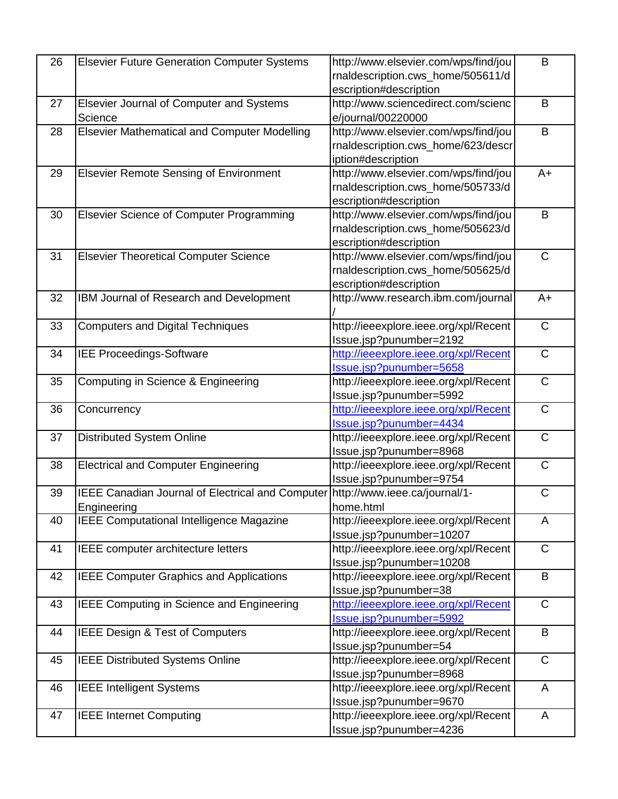| 26 | <b>Elsevier Future Generation Computer Systems</b>                             | http://www.elsevier.com/wps/find/jou  | B            |
|----|--------------------------------------------------------------------------------|---------------------------------------|--------------|
|    |                                                                                | rnaldescription.cws_home/505611/d     |              |
|    |                                                                                | escription#description                |              |
| 27 | Elsevier Journal of Computer and Systems                                       | http://www.sciencedirect.com/scienc   | B            |
|    | Science                                                                        | e/journal/00220000                    |              |
| 28 | <b>Elsevier Mathematical and Computer Modelling</b>                            | http://www.elsevier.com/wps/find/jou  | B            |
|    |                                                                                | rnaldescription.cws_home/623/descr    |              |
|    |                                                                                | iption#description                    |              |
| 29 | <b>Elsevier Remote Sensing of Environment</b>                                  | http://www.elsevier.com/wps/find/jou  | $A+$         |
|    |                                                                                | rnaldescription.cws_home/505733/d     |              |
|    |                                                                                | escription#description                |              |
| 30 | <b>Elsevier Science of Computer Programming</b>                                | http://www.elsevier.com/wps/find/jou  | B            |
|    |                                                                                | rnaldescription.cws_home/505623/d     |              |
|    |                                                                                | escription#description                |              |
| 31 | <b>Elsevier Theoretical Computer Science</b>                                   | http://www.elsevier.com/wps/find/jou  | $\mathsf{C}$ |
|    |                                                                                | rnaldescription.cws_home/505625/d     |              |
|    |                                                                                | escription#description                |              |
| 32 | IBM Journal of Research and Development                                        | http://www.research.ibm.com/journal   | $A+$         |
|    |                                                                                |                                       |              |
| 33 | <b>Computers and Digital Techniques</b>                                        | http://ieeexplore.ieee.org/xpl/Recent | $\mathsf{C}$ |
|    |                                                                                | Issue.jsp?punumber=2192               |              |
| 34 | <b>IEE Proceedings-Software</b>                                                | http://ieeexplore.ieee.org/xpl/Recent | $\mathsf{C}$ |
|    |                                                                                | Issue.jsp?punumber=5658               |              |
| 35 | Computing in Science & Engineering                                             | http://ieeexplore.ieee.org/xpl/Recent | $\mathsf C$  |
|    |                                                                                | Issue.jsp?punumber=5992               |              |
| 36 | Concurrency                                                                    | http://ieeexplore.ieee.org/xpl/Recent | $\mathsf{C}$ |
|    |                                                                                | Issue.jsp?punumber=4434               |              |
| 37 | <b>Distributed System Online</b>                                               | http://ieeexplore.ieee.org/xpl/Recent | $\mathsf C$  |
|    |                                                                                | Issue.jsp?punumber=8968               |              |
| 38 | <b>Electrical and Computer Engineering</b>                                     | http://ieeexplore.ieee.org/xpl/Recent | $\mathsf C$  |
|    |                                                                                | Issue.jsp?punumber=9754               |              |
| 39 | IEEE Canadian Journal of Electrical and Computer http://www.ieee.ca/journal/1- |                                       | $\mathsf C$  |
|    | Engineering                                                                    | home.html                             |              |
| 40 | <b>IEEE Computational Intelligence Magazine</b>                                | http://ieeexplore.ieee.org/xpl/Recent | A            |
|    |                                                                                | Issue.jsp?punumber=10207              |              |
| 41 | IEEE computer architecture letters                                             | http://ieeexplore.ieee.org/xpl/Recent | $\mathsf C$  |
|    |                                                                                | Issue.jsp?punumber=10208              |              |
| 42 | <b>IEEE Computer Graphics and Applications</b>                                 | http://ieeexplore.ieee.org/xpl/Recent | B            |
|    |                                                                                | Issue.jsp?punumber=38                 |              |
| 43 | <b>IEEE Computing in Science and Engineering</b>                               | http://ieeexplore.ieee.org/xpl/Recent | $\mathsf{C}$ |
|    |                                                                                | Issue.jsp?punumber=5992               |              |
| 44 | <b>IEEE Design &amp; Test of Computers</b>                                     | http://ieeexplore.ieee.org/xpl/Recent | B            |
|    |                                                                                | Issue.jsp?punumber=54                 |              |
| 45 | <b>IEEE Distributed Systems Online</b>                                         | http://ieeexplore.ieee.org/xpl/Recent | $\mathsf{C}$ |
|    |                                                                                | Issue.jsp?punumber=8968               |              |
| 46 | <b>IEEE Intelligent Systems</b>                                                | http://ieeexplore.ieee.org/xpl/Recent | A            |
|    |                                                                                | Issue.jsp?punumber=9670               |              |
| 47 | <b>IEEE Internet Computing</b>                                                 | http://ieeexplore.ieee.org/xpl/Recent | A            |
|    |                                                                                | Issue.jsp?punumber=4236               |              |
|    |                                                                                |                                       |              |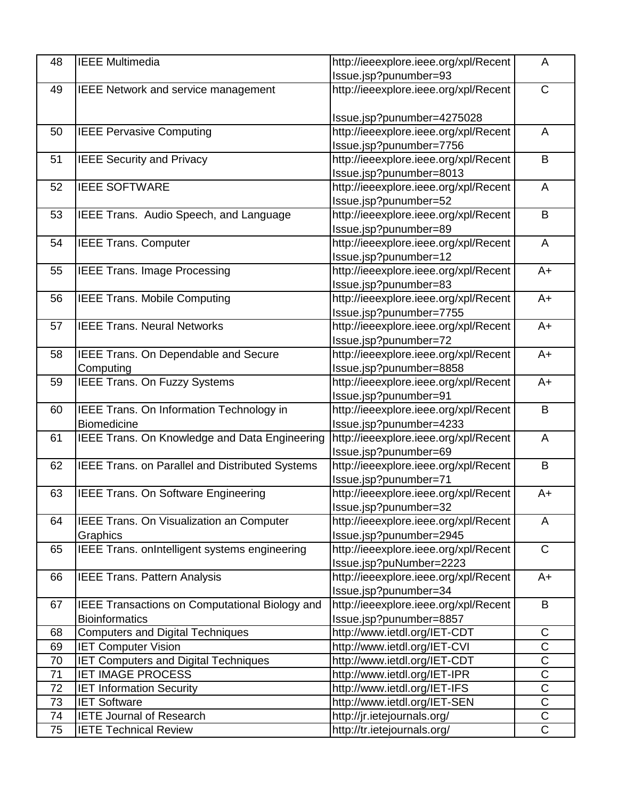| 48 | <b>IEEE Multimedia</b>                                 | http://ieeexplore.ieee.org/xpl/Recent                            | A                     |
|----|--------------------------------------------------------|------------------------------------------------------------------|-----------------------|
|    |                                                        | Issue.jsp?punumber=93                                            |                       |
| 49 | <b>IEEE Network and service management</b>             | http://ieeexplore.ieee.org/xpl/Recent                            | $\mathsf C$           |
|    |                                                        | Issue.jsp?punumber=4275028                                       |                       |
| 50 | <b>IEEE Pervasive Computing</b>                        | http://ieeexplore.ieee.org/xpl/Recent                            | A                     |
|    |                                                        | Issue.jsp?punumber=7756                                          |                       |
| 51 | <b>IEEE Security and Privacy</b>                       | http://ieeexplore.ieee.org/xpl/Recent                            | B                     |
|    |                                                        | Issue.jsp?punumber=8013                                          |                       |
| 52 | <b>IEEE SOFTWARE</b>                                   | http://ieeexplore.ieee.org/xpl/Recent                            | A                     |
|    |                                                        | Issue.jsp?punumber=52                                            |                       |
| 53 | IEEE Trans. Audio Speech, and Language                 | http://ieeexplore.ieee.org/xpl/Recent                            | B                     |
|    |                                                        | Issue.jsp?punumber=89                                            |                       |
| 54 | <b>IEEE Trans. Computer</b>                            | http://ieeexplore.ieee.org/xpl/Recent                            | A                     |
|    |                                                        | Issue.jsp?punumber=12                                            |                       |
| 55 | <b>IEEE Trans. Image Processing</b>                    | http://ieeexplore.ieee.org/xpl/Recent                            | $A+$                  |
|    |                                                        | Issue.jsp?punumber=83                                            |                       |
| 56 | <b>IEEE Trans. Mobile Computing</b>                    | http://ieeexplore.ieee.org/xpl/Recent                            | $A+$                  |
|    |                                                        |                                                                  |                       |
|    | <b>IEEE Trans. Neural Networks</b>                     | Issue.jsp?punumber=7755<br>http://ieeexplore.ieee.org/xpl/Recent | $A+$                  |
| 57 |                                                        |                                                                  |                       |
|    |                                                        | Issue.jsp?punumber=72                                            |                       |
| 58 | IEEE Trans. On Dependable and Secure                   | http://ieeexplore.ieee.org/xpl/Recent                            | $A+$                  |
|    | Computing                                              | Issue.jsp?punumber=8858                                          |                       |
| 59 | <b>IEEE Trans. On Fuzzy Systems</b>                    | http://ieeexplore.ieee.org/xpl/Recent                            | $A+$                  |
|    |                                                        | Issue.jsp?punumber=91                                            |                       |
| 60 | <b>IEEE Trans. On Information Technology in</b>        | http://ieeexplore.ieee.org/xpl/Recent                            | B                     |
|    | <b>Biomedicine</b>                                     | Issue.jsp?punumber=4233                                          |                       |
| 61 | IEEE Trans. On Knowledge and Data Engineering          | http://ieeexplore.ieee.org/xpl/Recent                            | A                     |
|    |                                                        | Issue.jsp?punumber=69                                            |                       |
| 62 | <b>IEEE Trans. on Parallel and Distributed Systems</b> | http://ieeexplore.ieee.org/xpl/Recent                            | B                     |
|    |                                                        | Issue.jsp?punumber=71                                            |                       |
| 63 | <b>IEEE Trans. On Software Engineering</b>             | http://ieeexplore.ieee.org/xpl/Recent                            | $A+$                  |
|    |                                                        | Issue.jsp?punumber=32                                            |                       |
| 64 | <b>IEEE Trans. On Visualization an Computer</b>        | http://ieeexplore.ieee.org/xpl/Recent                            | A                     |
|    | Graphics                                               | Issue.jsp?punumber=2945                                          |                       |
| 65 | IEEE Trans. onIntelligent systems engineering          | http://ieeexplore.ieee.org/xpl/Recent                            | $\mathsf{C}$          |
|    |                                                        | Issue.jsp?puNumber=2223                                          |                       |
| 66 | <b>IEEE Trans. Pattern Analysis</b>                    | http://ieeexplore.ieee.org/xpl/Recent                            | $A+$                  |
|    |                                                        | Issue.jsp?punumber=34                                            |                       |
| 67 | IEEE Transactions on Computational Biology and         | http://ieeexplore.ieee.org/xpl/Recent                            | B                     |
|    | <b>Bioinformatics</b>                                  | Issue.jsp?punumber=8857                                          |                       |
| 68 | <b>Computers and Digital Techniques</b>                | http://www.ietdl.org/IET-CDT                                     | C                     |
| 69 | <b>IET Computer Vision</b>                             | http://www.ietdl.org/IET-CVI                                     | $\mathsf C$           |
| 70 | <b>IET Computers and Digital Techniques</b>            | http://www.ietdl.org/IET-CDT                                     | $\overline{C}$        |
| 71 | <b>IET IMAGE PROCESS</b>                               | http://www.ietdl.org/IET-IPR                                     | $\mathsf C$           |
| 72 | <b>IET Information Security</b>                        | http://www.ietdl.org/IET-IFS                                     | $\mathsf C$           |
| 73 | <b>IET Software</b>                                    | http://www.ietdl.org/IET-SEN                                     | $\overline{\text{C}}$ |
| 74 | <b>IETE Journal of Research</b>                        | http://jr.ietejournals.org/                                      | $\mathsf C$           |
| 75 | <b>IETE Technical Review</b>                           | http://tr.ietejournals.org/                                      | $\mathsf C$           |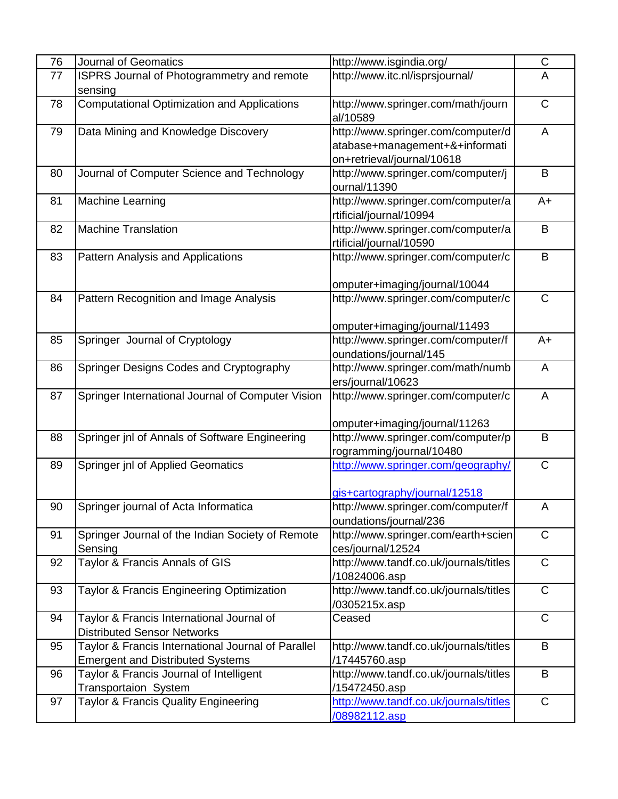| 76 | <b>Journal of Geomatics</b>                        | http://www.isgindia.org/               | C              |
|----|----------------------------------------------------|----------------------------------------|----------------|
| 77 | <b>ISPRS Journal of Photogrammetry and remote</b>  | http://www.itc.nl/isprsjournal/        | A              |
|    | sensing                                            |                                        |                |
| 78 | <b>Computational Optimization and Applications</b> | http://www.springer.com/math/journ     | $\mathsf{C}$   |
|    |                                                    | al/10589                               |                |
| 79 | Data Mining and Knowledge Discovery                | http://www.springer.com/computer/d     | A              |
|    |                                                    | atabase+management+&+informati         |                |
|    |                                                    | on+retrieval/journal/10618             |                |
| 80 | Journal of Computer Science and Technology         | http://www.springer.com/computer/j     | B              |
|    |                                                    | ournal/11390                           |                |
| 81 | <b>Machine Learning</b>                            | http://www.springer.com/computer/a     | $A+$           |
|    |                                                    | rtificial/journal/10994                |                |
| 82 | <b>Machine Translation</b>                         | http://www.springer.com/computer/a     | B              |
|    |                                                    | rtificial/journal/10590                |                |
| 83 | Pattern Analysis and Applications                  | http://www.springer.com/computer/c     | B              |
|    |                                                    |                                        |                |
|    |                                                    | omputer+imaging/journal/10044          |                |
| 84 | Pattern Recognition and Image Analysis             | http://www.springer.com/computer/c     | $\mathsf{C}$   |
|    |                                                    |                                        |                |
|    |                                                    | omputer+imaging/journal/11493          |                |
| 85 | Springer Journal of Cryptology                     | http://www.springer.com/computer/f     | $A+$           |
|    |                                                    | oundations/journal/145                 |                |
| 86 | Springer Designs Codes and Cryptography            | http://www.springer.com/math/numb      | A              |
|    |                                                    | ers/journal/10623                      |                |
| 87 | Springer International Journal of Computer Vision  | http://www.springer.com/computer/c     | $\overline{A}$ |
|    |                                                    |                                        |                |
|    |                                                    | omputer+imaging/journal/11263          |                |
| 88 | Springer jnl of Annals of Software Engineering     | http://www.springer.com/computer/p     | B              |
|    |                                                    | rogramming/journal/10480               |                |
| 89 | Springer jnl of Applied Geomatics                  | http://www.springer.com/geography/     | $\mathsf C$    |
|    |                                                    |                                        |                |
|    |                                                    | gis+cartography/journal/12518          |                |
| 90 | Springer journal of Acta Informatica               | http://www.springer.com/computer/f     |                |
|    |                                                    | oundations/journal/236                 | A              |
| 91 | Springer Journal of the Indian Society of Remote   | http://www.springer.com/earth+scien    | $\mathsf{C}$   |
|    | Sensing                                            | ces/journal/12524                      |                |
|    | Taylor & Francis Annals of GIS                     |                                        | $\mathsf{C}$   |
| 92 |                                                    | http://www.tandf.co.uk/journals/titles |                |
|    |                                                    | /10824006.asp                          | $\mathsf{C}$   |
| 93 | Taylor & Francis Engineering Optimization          | http://www.tandf.co.uk/journals/titles |                |
|    |                                                    | /0305215x.asp                          |                |
| 94 | Taylor & Francis International Journal of          | Ceased                                 | $\mathsf C$    |
|    | <b>Distributed Sensor Networks</b>                 |                                        |                |
| 95 | Taylor & Francis International Journal of Parallel | http://www.tandf.co.uk/journals/titles | B              |
|    | <b>Emergent and Distributed Systems</b>            | /17445760.asp                          |                |
| 96 | Taylor & Francis Journal of Intelligent            | http://www.tandf.co.uk/journals/titles | B              |
|    | <b>Transportaion System</b>                        | /15472450.asp                          |                |
| 97 | Taylor & Francis Quality Engineering               | http://www.tandf.co.uk/journals/titles | $\mathsf{C}$   |
|    |                                                    | /08982112.asp                          |                |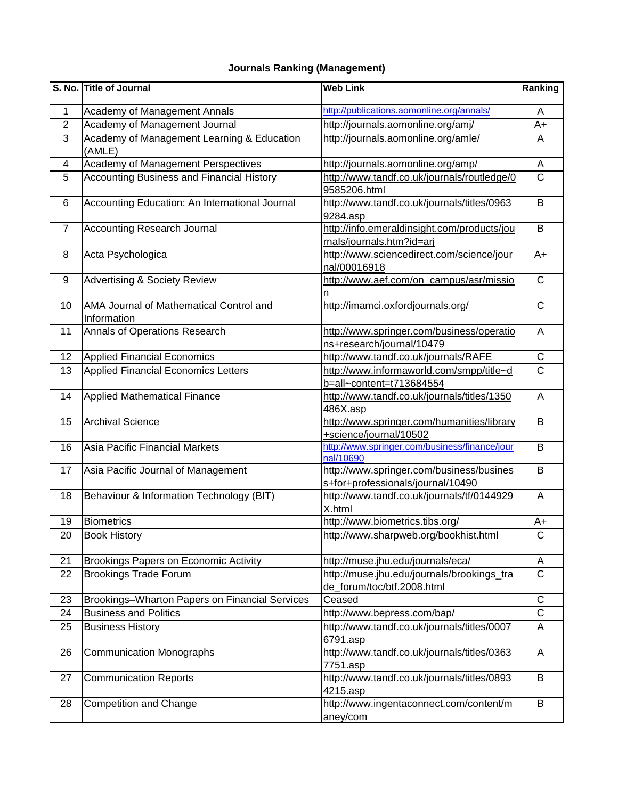## **Journals Ranking (Management)**

|                | S. No. Title of Journal                                | <b>Web Link</b>                                                          | Ranking               |
|----------------|--------------------------------------------------------|--------------------------------------------------------------------------|-----------------------|
| 1              | Academy of Management Annals                           | http://publications.aomonline.org/annals/                                | Α                     |
| $\overline{c}$ | Academy of Management Journal                          | http://journals.aomonline.org/amj/                                       | $A+$                  |
| 3              | Academy of Management Learning & Education<br>(AMLE)   | http://journals.aomonline.org/amle/                                      | A                     |
| 4              | Academy of Management Perspectives                     | http://journals.aomonline.org/amp/                                       | Α                     |
| $\overline{5}$ | Accounting Business and Financial History              | http://www.tandf.co.uk/journals/routledge/0                              | $\overline{\text{c}}$ |
|                |                                                        | 9585206.html                                                             |                       |
| 6              | Accounting Education: An International Journal         | http://www.tandf.co.uk/journals/titles/0963<br>9284.asp                  | B                     |
| $\overline{7}$ | <b>Accounting Research Journal</b>                     | http://info.emeraldinsight.com/products/jou                              | B                     |
|                |                                                        | rnals/journals.htm?id=arj                                                |                       |
| 8              | Acta Psychologica                                      | http://www.sciencedirect.com/science/jour                                | $A+$                  |
|                |                                                        | nal/00016918                                                             |                       |
| 9              | <b>Advertising &amp; Society Review</b>                | http://www.aef.com/on_campus/asr/missio                                  | $\mathsf{C}$          |
|                |                                                        | n                                                                        |                       |
| 10             | AMA Journal of Mathematical Control and<br>Information | http://imamci.oxfordjournals.org/                                        | $\mathsf{C}$          |
| 11             | Annals of Operations Research                          | http://www.springer.com/business/operatio                                | A                     |
|                |                                                        | ns+research/journal/10479                                                |                       |
| 12             | <b>Applied Financial Economics</b>                     | http://www.tandf.co.uk/journals/RAFE                                     | $\mathsf C$           |
| 13             | <b>Applied Financial Economics Letters</b>             | http://www.informaworld.com/smpp/title~d                                 | $\overline{\text{c}}$ |
|                |                                                        | b=all~content=t713684554                                                 |                       |
| 14             | <b>Applied Mathematical Finance</b>                    | http://www.tandf.co.uk/journals/titles/1350                              | A                     |
|                |                                                        | 486X.asp                                                                 |                       |
| 15             | <b>Archival Science</b>                                | http://www.springer.com/humanities/library                               | B                     |
|                |                                                        | +science/journal/10502                                                   |                       |
| 16             | Asia Pacific Financial Markets                         | http://www.springer.com/business/finance/jour<br>nal/10690               | $\overline{B}$        |
| 17             | Asia Pacific Journal of Management                     | http://www.springer.com/business/busines                                 | B                     |
|                |                                                        | s+for+professionals/journal/10490                                        |                       |
| 18             | Behaviour & Information Technology (BIT)               | http://www.tandf.co.uk/journals/tf/0144929                               | A                     |
|                |                                                        | X.html                                                                   |                       |
| 19             | <b>Biometrics</b>                                      | http://www.biometrics.tibs.org/                                          | $A+$                  |
| 20             | <b>Book History</b>                                    | http://www.sharpweb.org/bookhist.html                                    | C                     |
|                |                                                        |                                                                          |                       |
| 21             | <b>Brookings Papers on Economic Activity</b>           | http://muse.jhu.edu/journals/eca/                                        | A                     |
| 22             | <b>Brookings Trade Forum</b>                           | http://muse.jhu.edu/journals/brookings_tra<br>de_forum/toc/btf.2008.html | $\mathsf{C}$          |
| 23             | Brookings-Wharton Papers on Financial Services         | Ceased                                                                   | C                     |
| 24             | <b>Business and Politics</b>                           | http://www.bepress.com/bap/                                              | $\mathsf{C}$          |
| 25             | <b>Business History</b>                                | http://www.tandf.co.uk/journals/titles/0007                              | A                     |
|                |                                                        | 6791.asp                                                                 |                       |
| 26             | <b>Communication Monographs</b>                        | http://www.tandf.co.uk/journals/titles/0363                              | A                     |
|                |                                                        | 7751.asp                                                                 |                       |
| 27             | <b>Communication Reports</b>                           | http://www.tandf.co.uk/journals/titles/0893                              | B                     |
|                |                                                        | 4215.asp                                                                 |                       |
| 28             | <b>Competition and Change</b>                          | http://www.ingentaconnect.com/content/m                                  | B                     |
|                |                                                        | aney/com                                                                 |                       |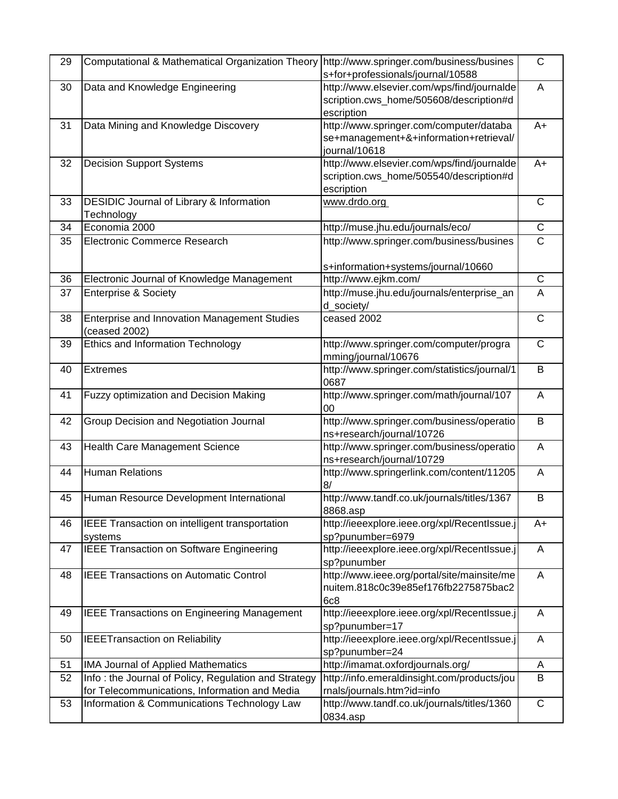| 29 | Computational & Mathematical Organization Theory     | http://www.springer.com/business/busines     | $\mathsf C$           |
|----|------------------------------------------------------|----------------------------------------------|-----------------------|
|    |                                                      | s+for+professionals/journal/10588            |                       |
| 30 | Data and Knowledge Engineering                       | http://www.elsevier.com/wps/find/journalde   | A                     |
|    |                                                      | scription.cws_home/505608/description#d      |                       |
|    |                                                      | escription                                   |                       |
| 31 | Data Mining and Knowledge Discovery                  | http://www.springer.com/computer/databa      | A+                    |
|    |                                                      | se+management+&+information+retrieval/       |                       |
|    |                                                      | journal/10618                                |                       |
| 32 | <b>Decision Support Systems</b>                      | http://www.elsevier.com/wps/find/journalde   | $A+$                  |
|    |                                                      | scription.cws_home/505540/description#d      |                       |
|    |                                                      | escription                                   |                       |
| 33 | DESIDIC Journal of Library & Information             | www.drdo.org                                 | $\mathsf C$           |
|    | Technology                                           |                                              |                       |
| 34 | Economia 2000                                        | http://muse.jhu.edu/journals/eco/            | C                     |
| 35 | Electronic Commerce Research                         | http://www.springer.com/business/busines     | $\overline{\text{C}}$ |
|    |                                                      |                                              |                       |
|    |                                                      | s+information+systems/journal/10660          |                       |
| 36 | Electronic Journal of Knowledge Management           | http://www.ejkm.com/                         | C                     |
| 37 | <b>Enterprise &amp; Society</b>                      | http://muse.jhu.edu/journals/enterprise_an   | A                     |
|    |                                                      | d_society/                                   |                       |
| 38 | <b>Enterprise and Innovation Management Studies</b>  | ceased 2002                                  | $\mathsf C$           |
|    | (ceased 2002)                                        |                                              |                       |
| 39 | Ethics and Information Technology                    | http://www.springer.com/computer/progra      | $\mathsf{C}$          |
|    |                                                      | mming/journal/10676                          |                       |
| 40 | <b>Extremes</b>                                      | http://www.springer.com/statistics/journal/1 | B                     |
|    |                                                      | 0687                                         |                       |
| 41 | Fuzzy optimization and Decision Making               | http://www.springer.com/math/journal/107     | A                     |
|    |                                                      | 00                                           |                       |
| 42 | Group Decision and Negotiation Journal               | http://www.springer.com/business/operatio    | B                     |
|    |                                                      | ns+research/journal/10726                    |                       |
| 43 | <b>Health Care Management Science</b>                | http://www.springer.com/business/operatio    | A                     |
|    |                                                      | ns+research/journal/10729                    |                       |
| 44 | <b>Human Relations</b>                               | http://www.springerlink.com/content/11205    | A                     |
|    |                                                      | 8/                                           |                       |
| 45 | Human Resource Development International             | http://www.tandf.co.uk/journals/titles/1367  | B                     |
|    |                                                      | 8868.asp                                     |                       |
| 46 | IEEE Transaction on intelligent transportation       | http://ieeexplore.ieee.org/xpl/RecentIssue.j | $A+$                  |
|    | systems                                              | sp?punumber=6979                             |                       |
| 47 | <b>IEEE Transaction on Software Engineering</b>      | http://ieeexplore.ieee.org/xpl/RecentIssue.j | A                     |
|    |                                                      | sp?punumber                                  |                       |
| 48 | <b>IEEE Transactions on Automatic Control</b>        | http://www.ieee.org/portal/site/mainsite/me  | A                     |
|    |                                                      | nuitem.818c0c39e85ef176fb2275875bac2         |                       |
|    |                                                      | 6c8                                          |                       |
| 49 | <b>IEEE Transactions on Engineering Management</b>   | http://ieeexplore.ieee.org/xpl/RecentIssue.j | A                     |
|    |                                                      | sp?punumber=17                               |                       |
| 50 | <b>IEEETransaction on Reliability</b>                | http://ieeexplore.ieee.org/xpl/RecentIssue.j | A                     |
|    |                                                      | sp?punumber=24                               |                       |
| 51 | IMA Journal of Applied Mathematics                   | http://imamat.oxfordjournals.org/            | A                     |
| 52 | Info: the Journal of Policy, Regulation and Strategy | http://info.emeraldinsight.com/products/jou  | B                     |
|    | for Telecommunications, Information and Media        | rnals/journals.htm?id=info                   |                       |
| 53 | Information & Communications Technology Law          | http://www.tandf.co.uk/journals/titles/1360  | $\mathsf C$           |
|    |                                                      | 0834.asp                                     |                       |
|    |                                                      |                                              |                       |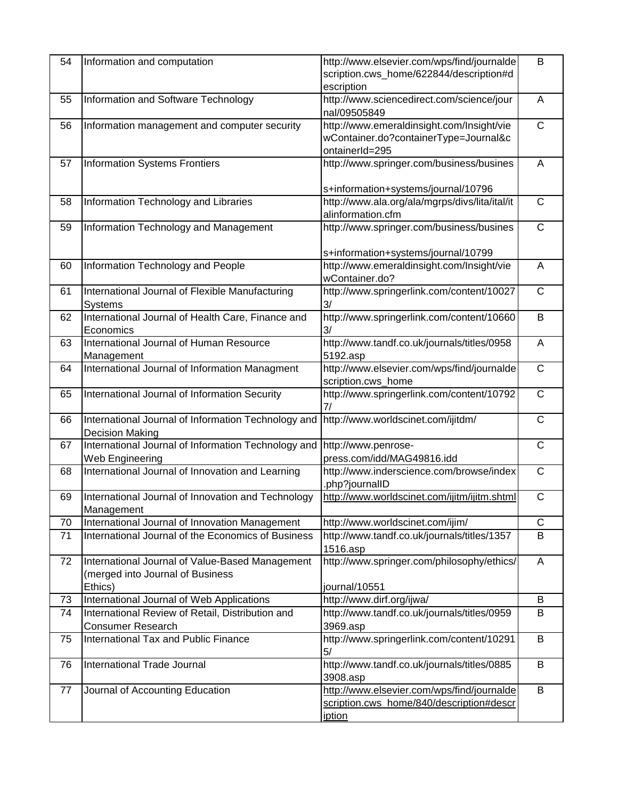| 54 | Information and computation                                                                    | http://www.elsevier.com/wps/find/journalde<br>scription.cws_home/622844/description#d<br>escription  | B              |
|----|------------------------------------------------------------------------------------------------|------------------------------------------------------------------------------------------------------|----------------|
| 55 | Information and Software Technology                                                            | http://www.sciencedirect.com/science/jour<br>nal/09505849                                            | Α              |
| 56 | Information management and computer security                                                   | http://www.emeraldinsight.com/Insight/vie<br>wContainer.do?containerType=Journal&c<br>ontainerId=295 | $\mathsf{C}$   |
| 57 | Information Systems Frontiers                                                                  | http://www.springer.com/business/busines<br>s+information+systems/journal/10796                      | A              |
| 58 | Information Technology and Libraries                                                           | http://www.ala.org/ala/mgrps/divs/lita/ital/it<br>alinformation.cfm                                  | $\mathsf{C}$   |
| 59 | Information Technology and Management                                                          | http://www.springer.com/business/busines<br>s+information+systems/journal/10799                      | $\mathsf C$    |
| 60 | Information Technology and People                                                              | http://www.emeraldinsight.com/Insight/vie<br>wContainer.do?                                          | A              |
| 61 | International Journal of Flexible Manufacturing<br>Systems                                     | http://www.springerlink.com/content/10027<br>3/                                                      | $\mathsf{C}$   |
| 62 | International Journal of Health Care, Finance and<br>Economics                                 | http://www.springerlink.com/content/10660<br>3/                                                      | B              |
| 63 | International Journal of Human Resource<br>Management                                          | http://www.tandf.co.uk/journals/titles/0958<br>5192.asp                                              | A              |
| 64 | International Journal of Information Managment                                                 | http://www.elsevier.com/wps/find/journalde<br>scription.cws_home                                     | $\overline{C}$ |
| 65 | International Journal of Information Security                                                  | http://www.springerlink.com/content/10792<br>7/                                                      | $\overline{C}$ |
| 66 | International Journal of Information Technology and<br><b>Decision Making</b>                  | http://www.worldscinet.com/ijitdm/                                                                   | $\mathsf{C}$   |
| 67 | International Journal of Information Technology and<br>Web Engineering                         | http://www.penrose-<br>press.com/idd/MAG49816.idd                                                    | $\overline{C}$ |
| 68 | International Journal of Innovation and Learning                                               | http://www.inderscience.com/browse/index<br>.php?journalID                                           | $\overline{C}$ |
| 69 | International Journal of Innovation and Technology<br>Management                               | http://www.worldscinet.com/ijitm/ijitm.shtml                                                         | $\mathsf C$    |
| 70 | International Journal of Innovation Management                                                 | http://www.worldscinet.com/ijim/                                                                     | $\mathsf{C}$   |
| 71 | International Journal of the Economics of Business                                             | http://www.tandf.co.uk/journals/titles/1357<br>1516.asp                                              | B              |
| 72 | International Journal of Value-Based Management<br>(merged into Journal of Business<br>Ethics) | http://www.springer.com/philosophy/ethics/<br>journal/10551                                          | A              |
| 73 | International Journal of Web Applications                                                      | http://www.dirf.org/ijwa/                                                                            | B              |
| 74 | International Review of Retail, Distribution and<br><b>Consumer Research</b>                   | http://www.tandf.co.uk/journals/titles/0959<br>3969.asp                                              | B              |
| 75 | International Tax and Public Finance                                                           | http://www.springerlink.com/content/10291<br>5/                                                      | B              |
| 76 | International Trade Journal                                                                    | http://www.tandf.co.uk/journals/titles/0885<br>3908.asp                                              | B              |
| 77 | Journal of Accounting Education                                                                | http://www.elsevier.com/wps/find/journalde<br>scription.cws_home/840/description#descr<br>iption     | B              |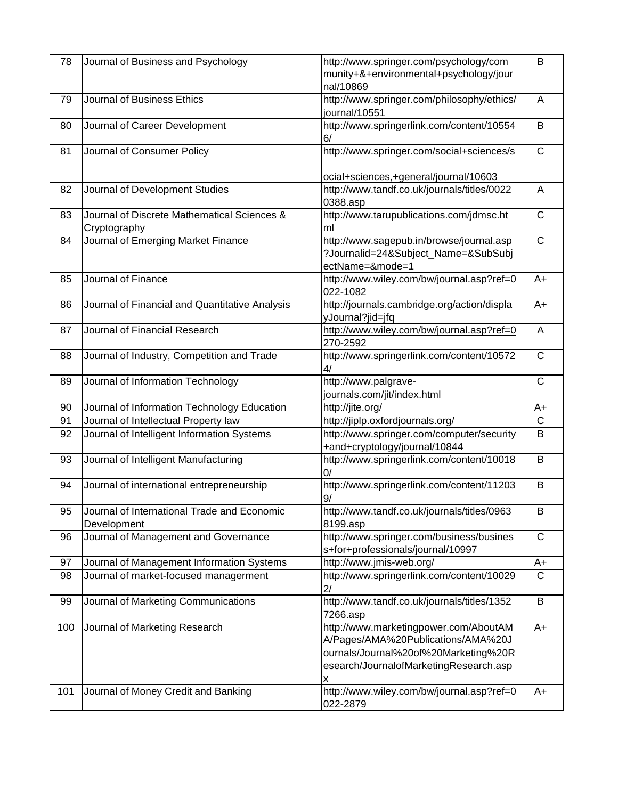| 78  | Journal of Business and Psychology                          | http://www.springer.com/psychology/com                                                                                                                             | B              |
|-----|-------------------------------------------------------------|--------------------------------------------------------------------------------------------------------------------------------------------------------------------|----------------|
|     |                                                             | munity+&+environmental+psychology/jour<br>nal/10869                                                                                                                |                |
| 79  | Journal of Business Ethics                                  | http://www.springer.com/philosophy/ethics/<br>journal/10551                                                                                                        | Α              |
| 80  | Journal of Career Development                               | http://www.springerlink.com/content/10554<br>6/                                                                                                                    | B              |
| 81  | Journal of Consumer Policy                                  | http://www.springer.com/social+sciences/s                                                                                                                          | $\mathsf{C}$   |
| 82  | Journal of Development Studies                              | ocial+sciences,+general/journal/10603<br>http://www.tandf.co.uk/journals/titles/0022<br>0388.asp                                                                   | A              |
| 83  | Journal of Discrete Mathematical Sciences &<br>Cryptography | http://www.tarupublications.com/jdmsc.ht<br>ml                                                                                                                     | $\mathsf{C}$   |
| 84  | Journal of Emerging Market Finance                          | http://www.sagepub.in/browse/journal.asp<br>?Journalid=24&Subject_Name=&SubSubj<br>ectName=&mode=1                                                                 | $\overline{C}$ |
| 85  | Journal of Finance                                          | http://www.wiley.com/bw/journal.asp?ref=0<br>022-1082                                                                                                              | $A+$           |
| 86  | Journal of Financial and Quantitative Analysis              | http://journals.cambridge.org/action/displa<br>yJournal?jid=jfq                                                                                                    | $A+$           |
| 87  | Journal of Financial Research                               | http://www.wiley.com/bw/journal.asp?ref=0<br>270-2592                                                                                                              | Α              |
| 88  | Journal of Industry, Competition and Trade                  | http://www.springerlink.com/content/10572<br>4/                                                                                                                    | $\mathsf{C}$   |
| 89  | Journal of Information Technology                           | http://www.palgrave-<br>journals.com/jit/index.html                                                                                                                | $\mathsf{C}$   |
| 90  | Journal of Information Technology Education                 | http://jite.org/                                                                                                                                                   | $A+$           |
| 91  | Journal of Intellectual Property law                        | http://jiplp.oxfordjournals.org/                                                                                                                                   | $\mathsf C$    |
| 92  | Journal of Intelligent Information Systems                  | http://www.springer.com/computer/security<br>+and+cryptology/journal/10844                                                                                         | B              |
| 93  | Journal of Intelligent Manufacturing                        | http://www.springerlink.com/content/10018<br>0/                                                                                                                    | B              |
| 94  | Journal of international entrepreneurship                   | http://www.springerlink.com/content/11203<br>$9/$                                                                                                                  | B              |
| 95  | Journal of International Trade and Economic<br>Development  | http://www.tandf.co.uk/journals/titles/0963<br>8199.asp                                                                                                            | B              |
| 96  | Journal of Management and Governance                        | http://www.springer.com/business/busines<br>s+for+professionals/journal/10997                                                                                      | $\mathsf{C}$   |
| 97  | Journal of Management Information Systems                   | http://www.jmis-web.org/                                                                                                                                           | A+             |
| 98  | Journal of market-focused managerment                       | http://www.springerlink.com/content/10029<br>2/                                                                                                                    | $\mathsf{C}$   |
| 99  | Journal of Marketing Communications                         | http://www.tandf.co.uk/journals/titles/1352<br>7266.asp                                                                                                            | B              |
| 100 | Journal of Marketing Research                               | http://www.marketingpower.com/AboutAM<br>A/Pages/AMA%20Publications/AMA%20J<br>ournals/Journal%20of%20Marketing%20R<br>esearch/JournalofMarketingResearch.asp<br>x | $A+$           |
| 101 | Journal of Money Credit and Banking                         | http://www.wiley.com/bw/journal.asp?ref=0<br>022-2879                                                                                                              | $A+$           |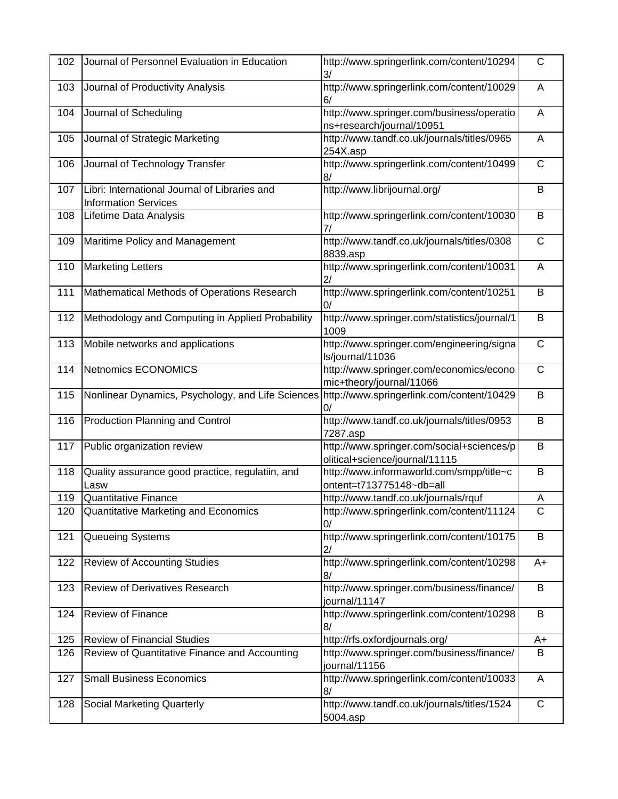| 102 | Journal of Personnel Evaluation in Education                                 | http://www.springerlink.com/content/10294<br>3/                             | C                     |
|-----|------------------------------------------------------------------------------|-----------------------------------------------------------------------------|-----------------------|
| 103 | Journal of Productivity Analysis                                             | http://www.springerlink.com/content/10029<br>6/                             | A                     |
| 104 | Journal of Scheduling                                                        | http://www.springer.com/business/operatio<br>ns+research/journal/10951      | A                     |
| 105 | Journal of Strategic Marketing                                               | http://www.tandf.co.uk/journals/titles/0965<br>254X.asp                     | A                     |
| 106 | Journal of Technology Transfer                                               | http://www.springerlink.com/content/10499<br>8/                             | $\mathsf C$           |
| 107 | Libri: International Journal of Libraries and<br><b>Information Services</b> | http://www.librijournal.org/                                                | B                     |
| 108 | Lifetime Data Analysis                                                       | http://www.springerlink.com/content/10030<br>71                             | B                     |
| 109 | Maritime Policy and Management                                               | http://www.tandf.co.uk/journals/titles/0308<br>8839.asp                     | $\overline{C}$        |
| 110 | <b>Marketing Letters</b>                                                     | http://www.springerlink.com/content/10031<br>2/                             | A                     |
| 111 | Mathematical Methods of Operations Research                                  | http://www.springerlink.com/content/10251<br>0/                             | B                     |
| 112 | Methodology and Computing in Applied Probability                             | http://www.springer.com/statistics/journal/1<br>1009                        | B                     |
| 113 | Mobile networks and applications                                             | http://www.springer.com/engineering/signa<br>ls/journal/11036               | $\overline{\text{c}}$ |
| 114 | <b>Netnomics ECONOMICS</b>                                                   | http://www.springer.com/economics/econo<br>mic+theory/journal/11066         | $\mathsf{C}$          |
| 115 | Nonlinear Dynamics, Psychology, and Life Sciences                            | http://www.springerlink.com/content/10429<br>0/                             | B                     |
| 116 | <b>Production Planning and Control</b>                                       | http://www.tandf.co.uk/journals/titles/0953<br>7287.asp                     | B                     |
| 117 | Public organization review                                                   | http://www.springer.com/social+sciences/p<br>olitical+science/journal/11115 | B                     |
| 118 | Quality assurance good practice, regulatiin, and<br>Lasw                     | http://www.informaworld.com/smpp/title~c<br>ontent=t713775148~db=all        | B                     |
| 119 | <b>Quantitative Finance</b>                                                  | http://www.tandf.co.uk/journals/rquf                                        | A                     |
| 120 | Quantitative Marketing and Economics                                         | http://www.springerlink.com/content/11124<br>0/                             | C                     |
| 121 | Queueing Systems                                                             | http://www.springerlink.com/content/10175<br>2/                             | B                     |
| 122 | <b>Review of Accounting Studies</b>                                          | http://www.springerlink.com/content/10298<br>8/                             | $A+$                  |
| 123 | Review of Derivatives Research                                               | http://www.springer.com/business/finance/<br>journal/11147                  | B                     |
| 124 | Review of Finance                                                            | http://www.springerlink.com/content/10298<br>8/                             | B                     |
| 125 | <b>Review of Financial Studies</b>                                           | http://rfs.oxfordjournals.org/                                              | $A+$                  |
| 126 | Review of Quantitative Finance and Accounting                                | http://www.springer.com/business/finance/<br>journal/11156                  | B                     |
| 127 | <b>Small Business Economics</b>                                              | http://www.springerlink.com/content/10033<br>8/                             | A                     |
| 128 | Social Marketing Quarterly                                                   | http://www.tandf.co.uk/journals/titles/1524<br>5004.asp                     | $\mathsf C$           |